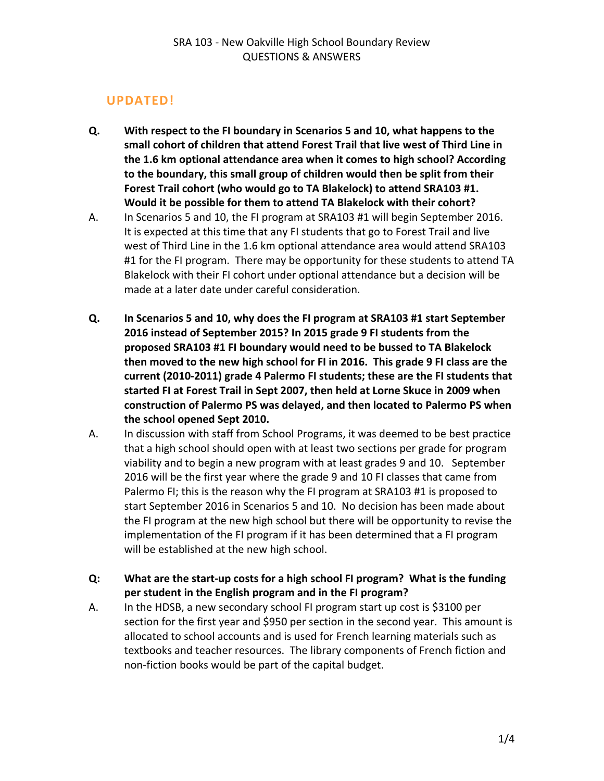# **UPDATED!**

- **Q. With respect to the FI boundary in Scenarios 5 and 10, what happens to the small cohort of children that attend Forest Trail that live west of Third Line in the 1.6 km optional attendance area when it comes to high school? According to the boundary, this small group of children would then be split from their Forest Trail cohort (who would go to TA Blakelock) to attend SRA103 #1. Would it be possible for them to attend TA Blakelock with their cohort?**
- A. In Scenarios 5 and 10, the FI program at SRA103 #1 will begin September 2016. It is expected at this time that any FI students that go to Forest Trail and live west of Third Line in the 1.6 km optional attendance area would attend SRA103 #1 for the FI program. There may be opportunity for these students to attend TA Blakelock with their FI cohort under optional attendance but a decision will be made at a later date under careful consideration.
- **Q. In Scenarios 5 and 10, why does the FI program at SRA103 #1 start September 2016 instead of September 2015? In 2015 grade 9 FI students from the proposed SRA103 #1 FI boundary would need to be bussed to TA Blakelock then moved to the new high school for FI in 2016. This grade 9 FI class are the current (2010‐2011) grade 4 Palermo FI students; these are the FI students that started FI at Forest Trail in Sept 2007, then held at Lorne Skuce in 2009 when construction of Palermo PS was delayed, and then located to Palermo PS when the school opened Sept 2010.**
- A. In discussion with staff from School Programs, it was deemed to be best practice that a high school should open with at least two sections per grade for program viability and to begin a new program with at least grades 9 and 10. September 2016 will be the first year where the grade 9 and 10 FI classes that came from Palermo FI; this is the reason why the FI program at SRA103 #1 is proposed to start September 2016 in Scenarios 5 and 10. No decision has been made about the FI program at the new high school but there will be opportunity to revise the implementation of the FI program if it has been determined that a FI program will be established at the new high school.
- **Q: What are the start‐up costs for a high school FI program? What is the funding per student in the English program and in the FI program?**
- A. In the HDSB, a new secondary school FI program start up cost is \$3100 per section for the first year and \$950 per section in the second year. This amount is allocated to school accounts and is used for French learning materials such as textbooks and teacher resources. The library components of French fiction and non‐fiction books would be part of the capital budget.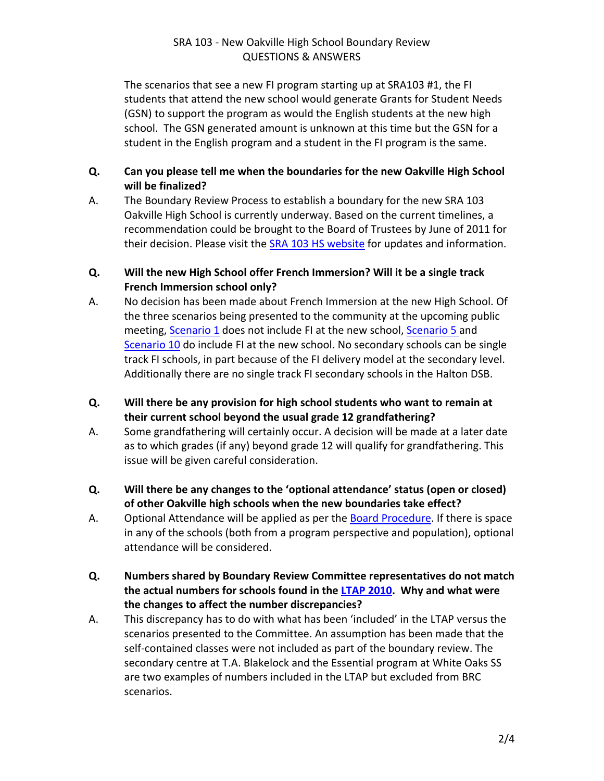## SRA 103 ‐ New Oakville High School Boundary Review QUESTIONS & ANSWERS

The scenarios that see a new FI program starting up at SRA103 #1, the FI students that attend the new school would generate Grants for Student Needs (GSN) to support the program as would the English students at the new high school. The GSN generated amount is unknown at this time but the GSN for a student in the English program and a student in the FI program is the same.

## **Q. Can you please tell me when the boundaries for the new Oakville High School will be finalized?**

A. The Boundary Review Process to establish a boundary for the new SRA 103 Oakville High School is currently underway. Based on the current timelines, a recommendation could be brought to the Board of Trustees by June of 2011 for their decision. Please visit the **SRA 103 HS [website](http://www.hdsb.ca/aboutus/Planning/Reviews/Pages/Current%20Secondary%20Reviews/OakvilleSRA103HS.aspx)** for updates and information.

## **Q. Will the new High School offer French Immersion? Will it be a single track French Immersion school only?**

- A. No decision has been made about French Immersion at the new High School. Of the three scenarios being presented to the community at the upcoming public meeting, [Scenario](http://www.hdsb.ca/aboutus/Planning/Reviews/Oakville%20SRA%20103%20SCENARIOS/c%20Scenario5.pdf) 1 does not include FI at the new school, Scenario 5 and [Scenario](http://www.hdsb.ca/aboutus/Planning/Reviews/Oakville%20SRA%20103%20SCENARIOS/d%20Scenario10.pdf) 10 do include FI at the new school. No secondary schools can be single track FI schools, in part because of the FI delivery model at the secondary level. Additionally there are no single track FI secondary schools in the Halton DSB.
- **Q. Will there be any provision for high school students who want to remain at their current school beyond the usual grade 12 grandfathering?**
- A. Some grandfathering will certainly occur. A decision will be made at a later date as to which grades (if any) beyond grade 12 will qualify for grandfathering. This issue will be given careful consideration.
- **Q. Will there be any changes to the 'optional attendance' status (open or closed) of other Oakville high schools when the new boundaries take effect?**
- A. Optional Attendance will be applied as per the **Board [Procedure](http://www.hdsb.ca/Policy/Optional%20Attendance-2010.pdf)**. If there is space in any of the schools (both from a program perspective and population), optional attendance will be considered.
- **Q. Numbers shared by Boundary Review Committee representatives do not match the actual numbers for schools found in the LTAP [2010.](http://www.hdsb.ca/aboutus/Planning/Pages/LongTermAccommodationPlan.aspx) Why and what were the changes to affect the number discrepancies?**
- A. This discrepancy has to do with what has been 'included' in the LTAP versus the scenarios presented to the Committee. An assumption has been made that the self-contained classes were not included as part of the boundary review. The secondary centre at T.A. Blakelock and the Essential program at White Oaks SS are two examples of numbers included in the LTAP but excluded from BRC scenarios.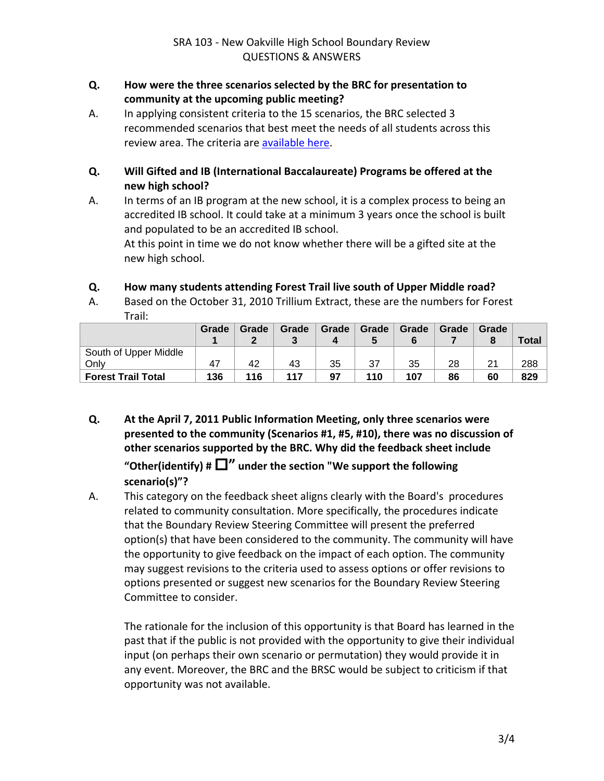#### **Q. How were the three scenarios selected by the BRC for presentation to community at the upcoming public meeting?**

A. In applying consistent criteria to the 15 scenarios, the BRC selected 3 recommended scenarios that best meet the needs of all students across this review area. The criteria are [available](http://www.hdsb.ca/aboutus/Planning/Reviews/Oakville%20SRA%20103%20SCENARIOS/a%20Boundary%20Review%20Committee%20Criteria.pdf) here.

## **Q. Will Gifted and IB (International Baccalaureate) Programs be offered at the new high school?**

A. In terms of an IB program at the new school, it is a complex process to being an accredited IB school. It could take at a minimum 3 years once the school is built and populated to be an accredited IB school.

At this point in time we do not know whether there will be a gifted site at the new high school.

## **Q. How many students attending Forest Trail live south of Upper Middle road?**

A. Based on the October 31, 2010 Trillium Extract, these are the numbers for Forest Trail:

|                           | Grade | Grade | Grade | Grade | Grade | Grade | Grade | Grade | Total |
|---------------------------|-------|-------|-------|-------|-------|-------|-------|-------|-------|
| South of Upper Middle     |       |       |       |       |       |       |       |       |       |
| Only                      |       | 42    | 43    | 35    | 37    | 35    | 28    | 21    | 288   |
| <b>Forest Trail Total</b> | 136   | 116   | 117   | 97    | 110   | 107   | 86    | 60    | 829   |

- **Q. At the April 7, 2011 Public Information Meeting, only three scenarios were presented to the community (Scenarios #1, #5, #10), there was no discussion of other scenarios supported by the BRC. Why did the feedback sheet include** "Other(identify)  $\sharp \Box$ " under the section "We support the following **scenario(s)"?**
- A. This category on the feedback sheet aligns clearly with the Board's procedures related to community consultation. More specifically, the procedures indicate that the Boundary Review Steering Committee will present the preferred option(s) that have been considered to the community. The community will have the opportunity to give feedback on the impact of each option. The community may suggest revisions to the criteria used to assess options or offer revisions to options presented or suggest new scenarios for the Boundary Review Steering Committee to consider.

The rationale for the inclusion of this opportunity is that Board has learned in the past that if the public is not provided with the opportunity to give their individual input (on perhaps their own scenario or permutation) they would provide it in any event. Moreover, the BRC and the BRSC would be subject to criticism if that opportunity was not available.